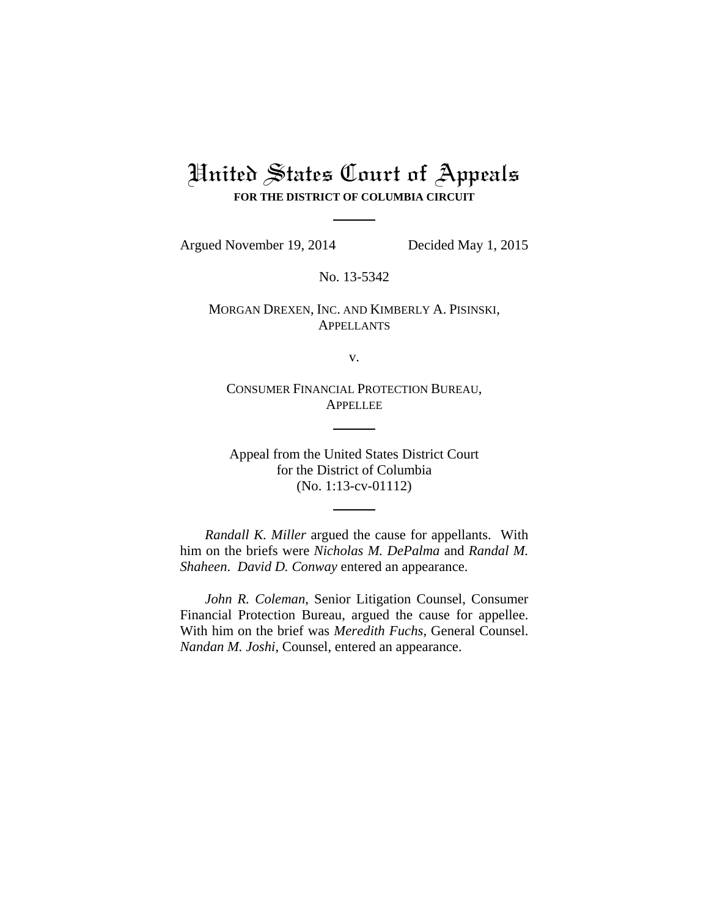# United States Court of Appeals **FOR THE DISTRICT OF COLUMBIA CIRCUIT**

Argued November 19, 2014 Decided May 1, 2015

No. 13-5342

MORGAN DREXEN, INC. AND KIMBERLY A. PISINSKI, APPELLANTS

v.

CONSUMER FINANCIAL PROTECTION BUREAU, APPELLEE

Appeal from the United States District Court for the District of Columbia (No. 1:13-cv-01112)

*Randall K. Miller* argued the cause for appellants. With him on the briefs were *Nicholas M. DePalma* and *Randal M. Shaheen*. *David D. Conway* entered an appearance.

*John R. Coleman*, Senior Litigation Counsel, Consumer Financial Protection Bureau, argued the cause for appellee. With him on the brief was *Meredith Fuchs*, General Counsel. *Nandan M. Joshi*, Counsel, entered an appearance.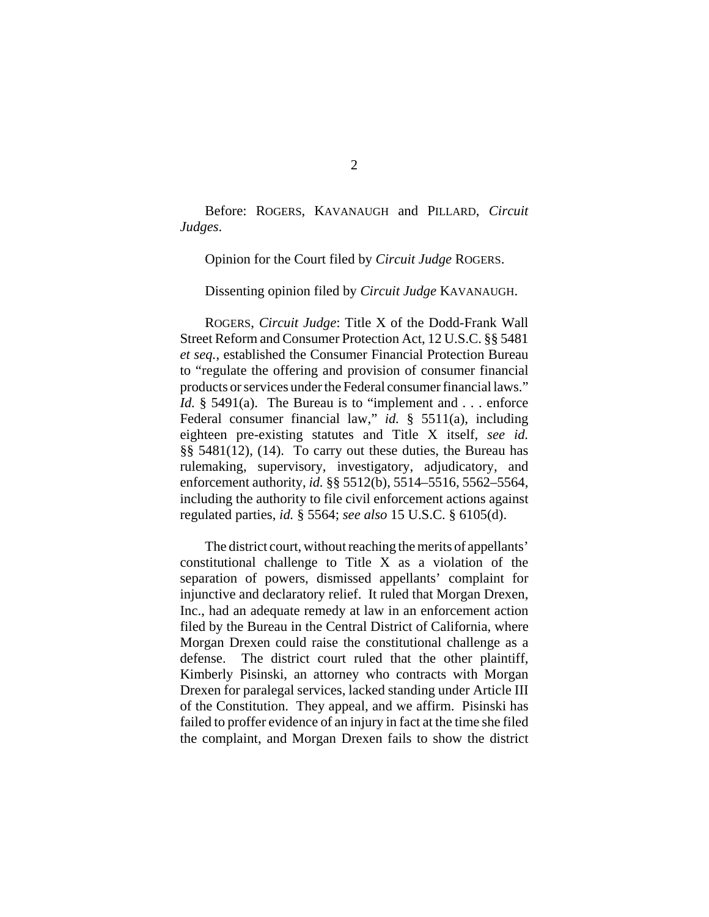Before: ROGERS, KAVANAUGH and PILLARD, *Circuit Judges*.

Opinion for the Court filed by *Circuit Judge* ROGERS.

Dissenting opinion filed by *Circuit Judge* KAVANAUGH.

ROGERS, *Circuit Judge*: Title X of the Dodd-Frank Wall Street Reform and Consumer Protection Act, 12 U.S.C. §§ 5481 *et seq.*, established the Consumer Financial Protection Bureau to "regulate the offering and provision of consumer financial products or services under the Federal consumer financial laws." *Id.* § 5491(a). The Bureau is to "implement and . . . enforce Federal consumer financial law," *id.* § 5511(a), including eighteen pre-existing statutes and Title X itself, *see id.* §§ 5481(12), (14). To carry out these duties, the Bureau has rulemaking, supervisory, investigatory, adjudicatory, and enforcement authority, *id.* §§ 5512(b), 5514–5516, 5562–5564, including the authority to file civil enforcement actions against regulated parties, *id.* § 5564; *see also* 15 U.S.C. § 6105(d).

The district court, without reaching the merits of appellants' constitutional challenge to Title X as a violation of the separation of powers, dismissed appellants' complaint for injunctive and declaratory relief. It ruled that Morgan Drexen, Inc., had an adequate remedy at law in an enforcement action filed by the Bureau in the Central District of California, where Morgan Drexen could raise the constitutional challenge as a defense. The district court ruled that the other plaintiff, Kimberly Pisinski, an attorney who contracts with Morgan Drexen for paralegal services, lacked standing under Article III of the Constitution. They appeal, and we affirm. Pisinski has failed to proffer evidence of an injury in fact at the time she filed the complaint, and Morgan Drexen fails to show the district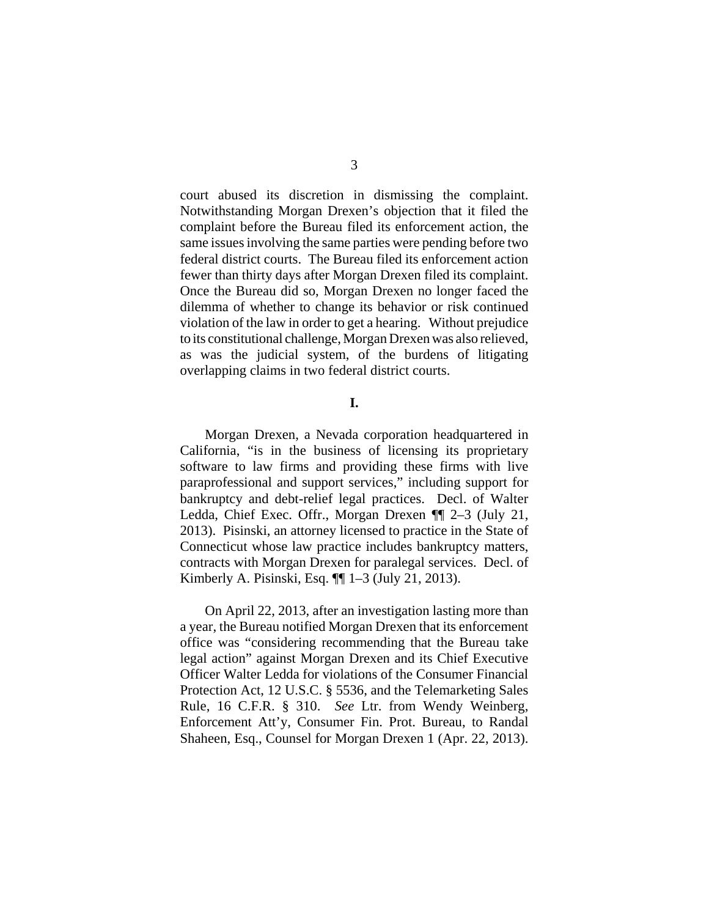court abused its discretion in dismissing the complaint. Notwithstanding Morgan Drexen's objection that it filed the complaint before the Bureau filed its enforcement action, the same issues involving the same parties were pending before two federal district courts. The Bureau filed its enforcement action fewer than thirty days after Morgan Drexen filed its complaint. Once the Bureau did so, Morgan Drexen no longer faced the dilemma of whether to change its behavior or risk continued violation of the law in order to get a hearing. Without prejudice to its constitutional challenge, Morgan Drexen was also relieved, as was the judicial system, of the burdens of litigating overlapping claims in two federal district courts.

**I.**

Morgan Drexen, a Nevada corporation headquartered in California, "is in the business of licensing its proprietary software to law firms and providing these firms with live paraprofessional and support services," including support for bankruptcy and debt-relief legal practices. Decl. of Walter Ledda, Chief Exec. Offr., Morgan Drexen ¶¶ 2–3 (July 21, 2013). Pisinski, an attorney licensed to practice in the State of Connecticut whose law practice includes bankruptcy matters, contracts with Morgan Drexen for paralegal services. Decl. of Kimberly A. Pisinski, Esq. ¶¶ 1–3 (July 21, 2013).

On April 22, 2013, after an investigation lasting more than a year, the Bureau notified Morgan Drexen that its enforcement office was "considering recommending that the Bureau take legal action" against Morgan Drexen and its Chief Executive Officer Walter Ledda for violations of the Consumer Financial Protection Act, 12 U.S.C. § 5536, and the Telemarketing Sales Rule, 16 C.F.R. § 310. *See* Ltr. from Wendy Weinberg, Enforcement Att'y, Consumer Fin. Prot. Bureau, to Randal Shaheen, Esq., Counsel for Morgan Drexen 1 (Apr. 22, 2013).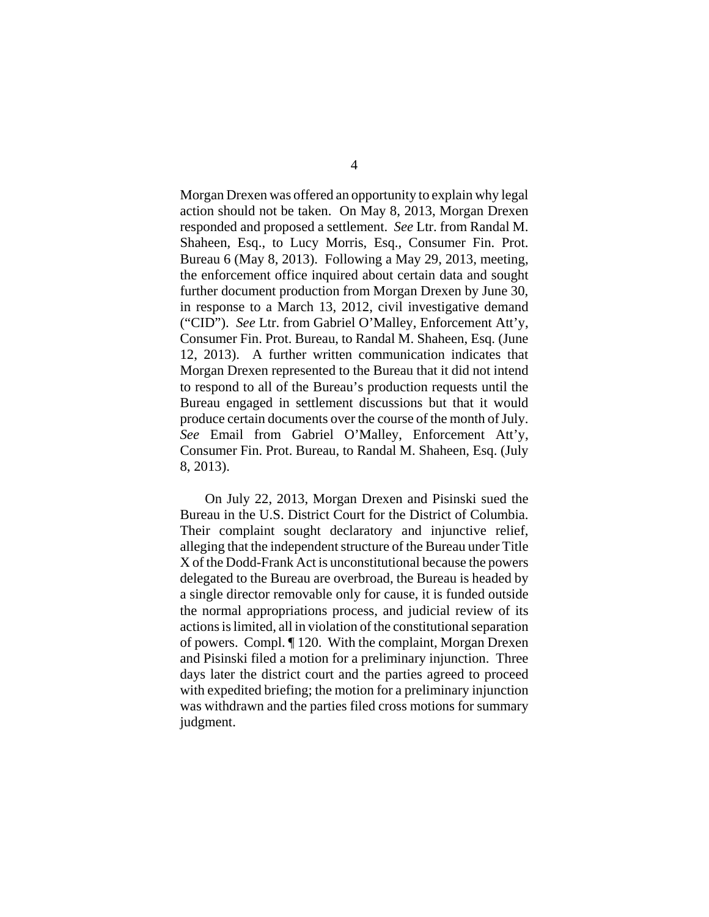Morgan Drexen was offered an opportunity to explain why legal action should not be taken. On May 8, 2013, Morgan Drexen responded and proposed a settlement. *See* Ltr. from Randal M. Shaheen, Esq., to Lucy Morris, Esq., Consumer Fin. Prot. Bureau 6 (May 8, 2013). Following a May 29, 2013, meeting, the enforcement office inquired about certain data and sought further document production from Morgan Drexen by June 30, in response to a March 13, 2012, civil investigative demand ("CID"). *See* Ltr. from Gabriel O'Malley, Enforcement Att'y, Consumer Fin. Prot. Bureau, to Randal M. Shaheen, Esq. (June 12, 2013). A further written communication indicates that Morgan Drexen represented to the Bureau that it did not intend to respond to all of the Bureau's production requests until the Bureau engaged in settlement discussions but that it would produce certain documents over the course of the month of July. *See* Email from Gabriel O'Malley, Enforcement Att'y, Consumer Fin. Prot. Bureau, to Randal M. Shaheen, Esq. (July 8, 2013).

On July 22, 2013, Morgan Drexen and Pisinski sued the Bureau in the U.S. District Court for the District of Columbia. Their complaint sought declaratory and injunctive relief, alleging that the independent structure of the Bureau under Title X of the Dodd-Frank Act is unconstitutional because the powers delegated to the Bureau are overbroad, the Bureau is headed by a single director removable only for cause, it is funded outside the normal appropriations process, and judicial review of its actions is limited, all in violation of the constitutional separation of powers. Compl. ¶ 120. With the complaint, Morgan Drexen and Pisinski filed a motion for a preliminary injunction. Three days later the district court and the parties agreed to proceed with expedited briefing; the motion for a preliminary injunction was withdrawn and the parties filed cross motions for summary judgment.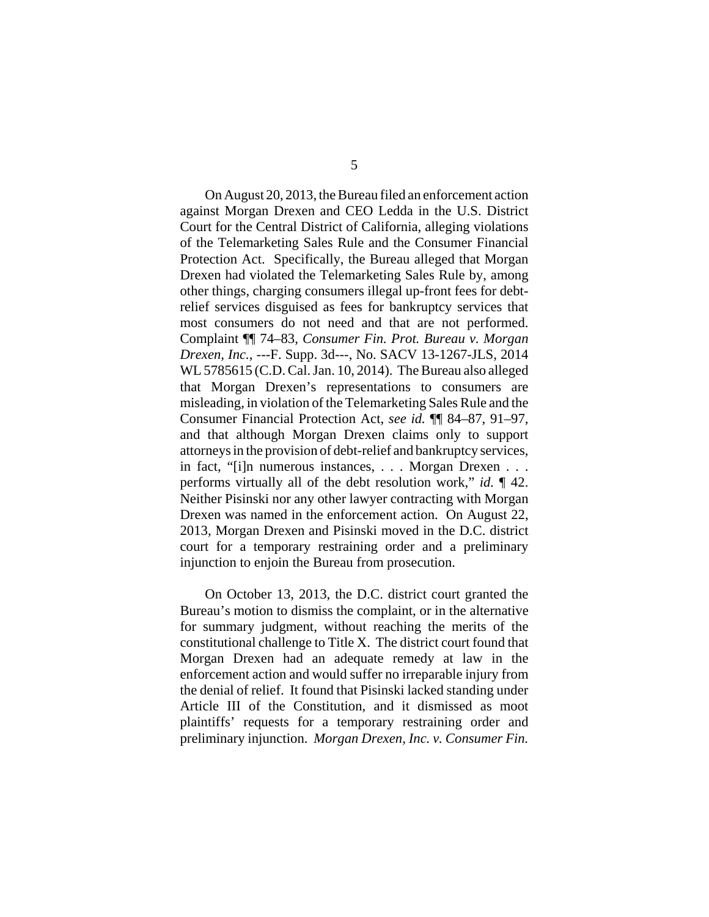On August 20, 2013, the Bureau filed an enforcement action against Morgan Drexen and CEO Ledda in the U.S. District Court for the Central District of California, alleging violations of the Telemarketing Sales Rule and the Consumer Financial Protection Act. Specifically, the Bureau alleged that Morgan Drexen had violated the Telemarketing Sales Rule by, among other things, charging consumers illegal up-front fees for debtrelief services disguised as fees for bankruptcy services that most consumers do not need and that are not performed. Complaint ¶¶ 74–83, *Consumer Fin. Prot. Bureau v. Morgan Drexen, Inc.*, ---F. Supp. 3d---, No. SACV 13-1267-JLS, 2014 WL 5785615 (C.D. Cal. Jan. 10, 2014). The Bureau also alleged that Morgan Drexen's representations to consumers are misleading, in violation of the Telemarketing Sales Rule and the Consumer Financial Protection Act, *see id.* ¶¶ 84–87, 91–97, and that although Morgan Drexen claims only to support attorneys in the provision of debt-relief and bankruptcy services, in fact, "[i]n numerous instances, . . . Morgan Drexen . . . performs virtually all of the debt resolution work," *id.* ¶ 42. Neither Pisinski nor any other lawyer contracting with Morgan Drexen was named in the enforcement action. On August 22, 2013, Morgan Drexen and Pisinski moved in the D.C. district court for a temporary restraining order and a preliminary injunction to enjoin the Bureau from prosecution.

On October 13, 2013, the D.C. district court granted the Bureau's motion to dismiss the complaint, or in the alternative for summary judgment, without reaching the merits of the constitutional challenge to Title X. The district court found that Morgan Drexen had an adequate remedy at law in the enforcement action and would suffer no irreparable injury from the denial of relief. It found that Pisinski lacked standing under Article III of the Constitution, and it dismissed as moot plaintiffs' requests for a temporary restraining order and preliminary injunction. *Morgan Drexen, Inc. v. Consumer Fin.*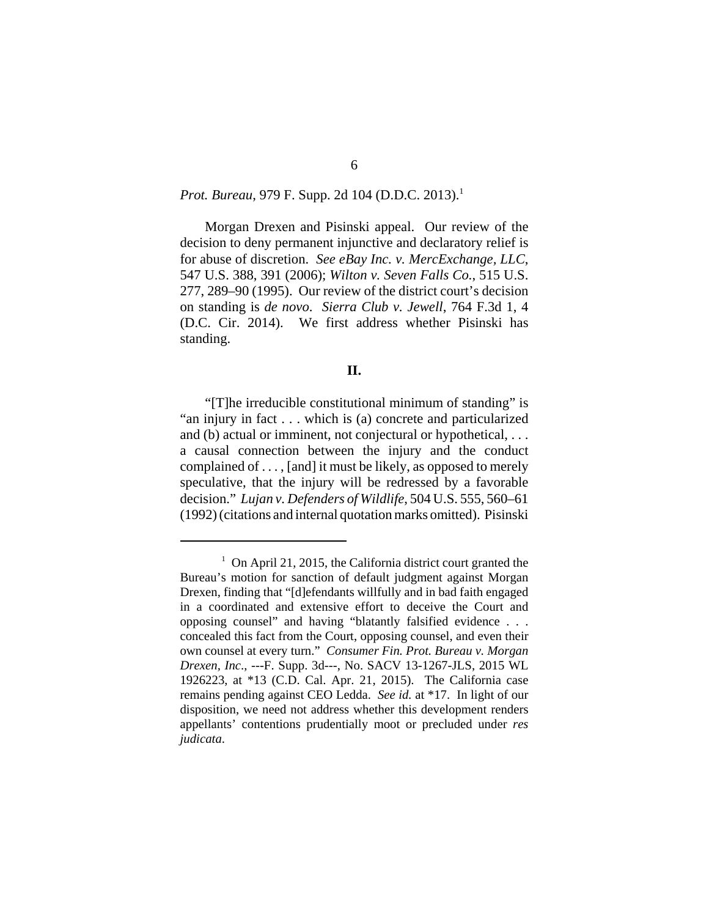## *Prot. Bureau,* 979 F. Supp. 2d 104 (D.D.C. 2013).<sup>1</sup>

Morgan Drexen and Pisinski appeal. Our review of the decision to deny permanent injunctive and declaratory relief is for abuse of discretion. *See eBay Inc. v. MercExchange, LLC*, 547 U.S. 388, 391 (2006); *Wilton v. Seven Falls Co.*, 515 U.S. 277, 289–90 (1995). Our review of the district court's decision on standing is *de novo*. *Sierra Club v. Jewell*, 764 F.3d 1, 4 (D.C. Cir. 2014). We first address whether Pisinski has standing.

#### **II.**

"[T]he irreducible constitutional minimum of standing" is "an injury in fact . . . which is (a) concrete and particularized and (b) actual or imminent, not conjectural or hypothetical, . . . a causal connection between the injury and the conduct complained of . . . , [and] it must be likely, as opposed to merely speculative, that the injury will be redressed by a favorable decision." *Lujan v. Defenders of Wildlife*, 504 U.S. 555, 560–61 (1992) (citations and internal quotation marks omitted). Pisinski

<sup>&</sup>lt;sup>1</sup> On April 21, 2015, the California district court granted the Bureau's motion for sanction of default judgment against Morgan Drexen, finding that "[d]efendants willfully and in bad faith engaged in a coordinated and extensive effort to deceive the Court and opposing counsel" and having "blatantly falsified evidence . . . concealed this fact from the Court, opposing counsel, and even their own counsel at every turn." *Consumer Fin. Prot. Bureau v. Morgan Drexen, Inc*., ---F. Supp. 3d---, No. SACV 13-1267-JLS, 2015 WL 1926223, at \*13 (C.D. Cal. Apr. 21, 2015). The California case remains pending against CEO Ledda. *See id.* at \*17. In light of our disposition, we need not address whether this development renders appellants' contentions prudentially moot or precluded under *res judicata*.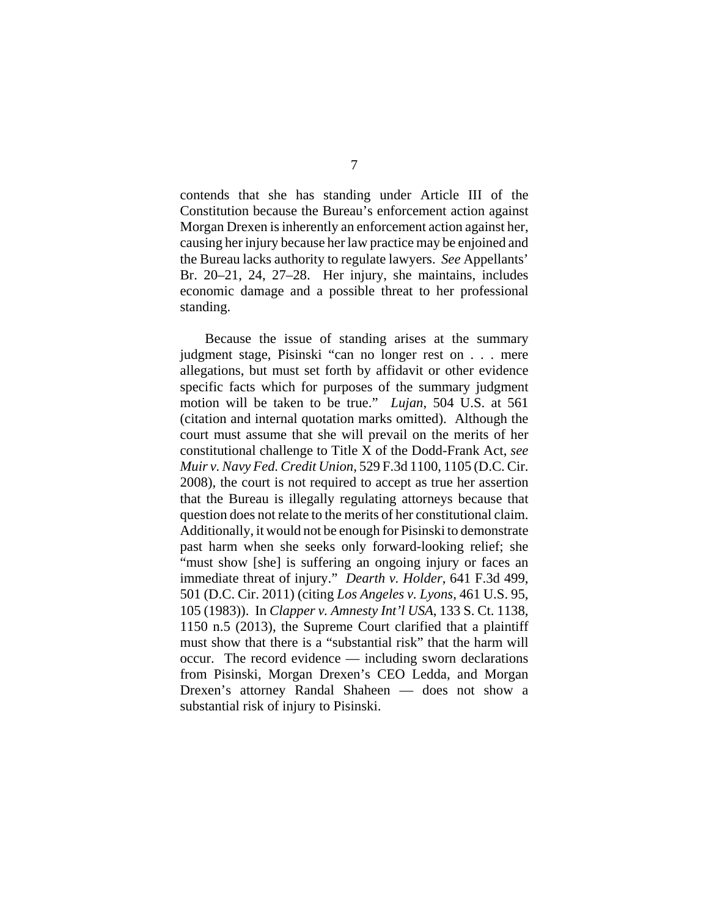contends that she has standing under Article III of the Constitution because the Bureau's enforcement action against Morgan Drexen is inherently an enforcement action against her, causing her injury because her law practice may be enjoined and the Bureau lacks authority to regulate lawyers. *See* Appellants' Br. 20–21, 24, 27–28. Her injury, she maintains, includes economic damage and a possible threat to her professional standing.

Because the issue of standing arises at the summary judgment stage, Pisinski "can no longer rest on . . . mere allegations, but must set forth by affidavit or other evidence specific facts which for purposes of the summary judgment motion will be taken to be true." *Lujan*, 504 U.S. at 561 (citation and internal quotation marks omitted). Although the court must assume that she will prevail on the merits of her constitutional challenge to Title X of the Dodd-Frank Act, *see Muir v. Navy Fed. Credit Union*, 529 F.3d 1100, 1105 (D.C. Cir. 2008), the court is not required to accept as true her assertion that the Bureau is illegally regulating attorneys because that question does not relate to the merits of her constitutional claim. Additionally, it would not be enough for Pisinski to demonstrate past harm when she seeks only forward-looking relief; she "must show [she] is suffering an ongoing injury or faces an immediate threat of injury." *Dearth v. Holder*, 641 F.3d 499, 501 (D.C. Cir. 2011) (citing *Los Angeles v. Lyons*, 461 U.S. 95, 105 (1983)). In *Clapper v. Amnesty Int'l USA*, 133 S. Ct. 1138, 1150 n.5 (2013), the Supreme Court clarified that a plaintiff must show that there is a "substantial risk" that the harm will occur. The record evidence — including sworn declarations from Pisinski, Morgan Drexen's CEO Ledda, and Morgan Drexen's attorney Randal Shaheen — does not show a substantial risk of injury to Pisinski.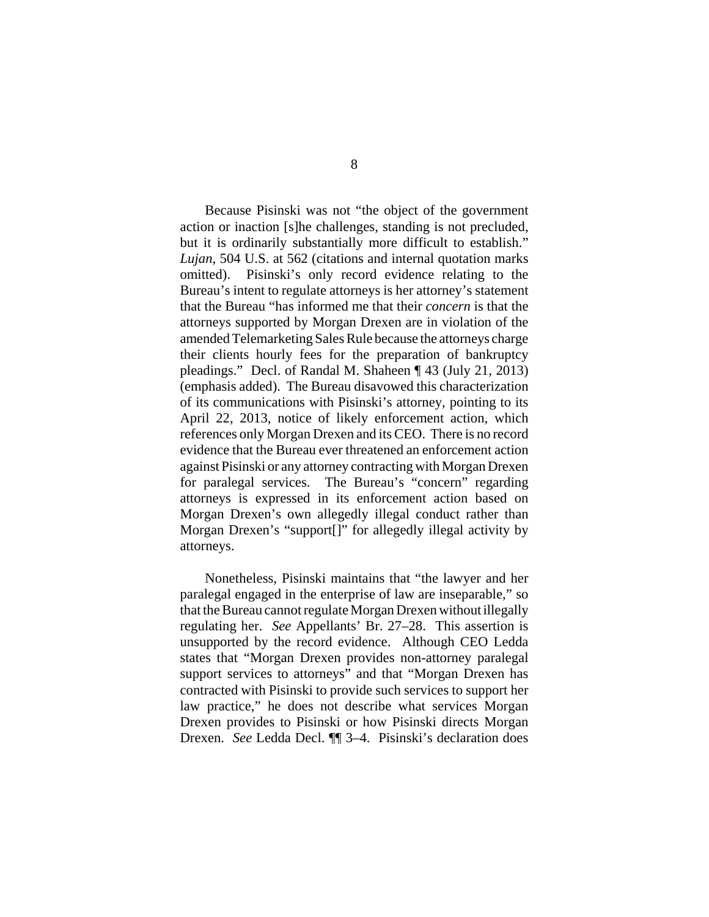Because Pisinski was not "the object of the government action or inaction [s]he challenges, standing is not precluded, but it is ordinarily substantially more difficult to establish." *Lujan*, 504 U.S. at 562 (citations and internal quotation marks omitted). Pisinski's only record evidence relating to the Bureau's intent to regulate attorneys is her attorney's statement that the Bureau "has informed me that their *concern* is that the attorneys supported by Morgan Drexen are in violation of the amended Telemarketing Sales Rule because the attorneys charge their clients hourly fees for the preparation of bankruptcy pleadings." Decl. of Randal M. Shaheen ¶ 43 (July 21, 2013) (emphasis added). The Bureau disavowed this characterization of its communications with Pisinski's attorney, pointing to its April 22, 2013, notice of likely enforcement action, which references only Morgan Drexen and its CEO. There is no record evidence that the Bureau ever threatened an enforcement action against Pisinski or any attorney contracting with Morgan Drexen for paralegal services. The Bureau's "concern" regarding attorneys is expressed in its enforcement action based on Morgan Drexen's own allegedly illegal conduct rather than Morgan Drexen's "support[]" for allegedly illegal activity by attorneys.

Nonetheless, Pisinski maintains that "the lawyer and her paralegal engaged in the enterprise of law are inseparable," so that the Bureau cannot regulate Morgan Drexen without illegally regulating her. *See* Appellants' Br. 27–28. This assertion is unsupported by the record evidence. Although CEO Ledda states that "Morgan Drexen provides non-attorney paralegal support services to attorneys" and that "Morgan Drexen has contracted with Pisinski to provide such services to support her law practice," he does not describe what services Morgan Drexen provides to Pisinski or how Pisinski directs Morgan Drexen. *See* Ledda Decl. ¶¶ 3–4. Pisinski's declaration does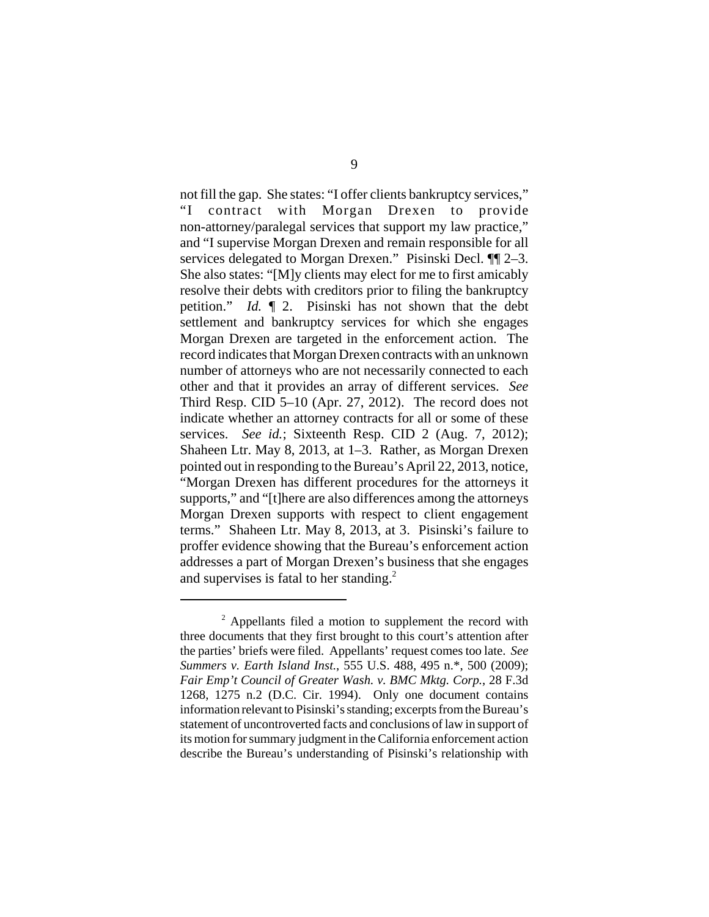not fill the gap. She states: "I offer clients bankruptcy services," "I contract with Morgan Drexen to provide non-attorney/paralegal services that support my law practice," and "I supervise Morgan Drexen and remain responsible for all services delegated to Morgan Drexen." Pisinski Decl. ¶¶ 2–3. She also states: "[M]y clients may elect for me to first amicably resolve their debts with creditors prior to filing the bankruptcy petition." *Id.* ¶ 2. Pisinski has not shown that the debt settlement and bankruptcy services for which she engages Morgan Drexen are targeted in the enforcement action. The record indicates that Morgan Drexen contracts with an unknown number of attorneys who are not necessarily connected to each other and that it provides an array of different services. *See* Third Resp. CID 5–10 (Apr. 27, 2012). The record does not indicate whether an attorney contracts for all or some of these services. *See id.*; Sixteenth Resp. CID 2 (Aug. 7, 2012); Shaheen Ltr. May 8, 2013, at 1–3. Rather, as Morgan Drexen pointed out in responding to the Bureau's April 22, 2013, notice, "Morgan Drexen has different procedures for the attorneys it supports," and "[t]here are also differences among the attorneys Morgan Drexen supports with respect to client engagement terms." Shaheen Ltr. May 8, 2013, at 3. Pisinski's failure to proffer evidence showing that the Bureau's enforcement action addresses a part of Morgan Drexen's business that she engages and supervises is fatal to her standing.<sup>2</sup>

<sup>&</sup>lt;sup>2</sup> Appellants filed a motion to supplement the record with three documents that they first brought to this court's attention after the parties' briefs were filed. Appellants' request comes too late. *See Summers v. Earth Island Inst.*, 555 U.S. 488, 495 n.\*, 500 (2009); *Fair Emp't Council of Greater Wash. v. BMC Mktg. Corp.*, 28 F.3d 1268, 1275 n.2 (D.C. Cir. 1994). Only one document contains information relevant to Pisinski's standing; excerpts from the Bureau's statement of uncontroverted facts and conclusions of law in support of its motion for summary judgment in the California enforcement action describe the Bureau's understanding of Pisinski's relationship with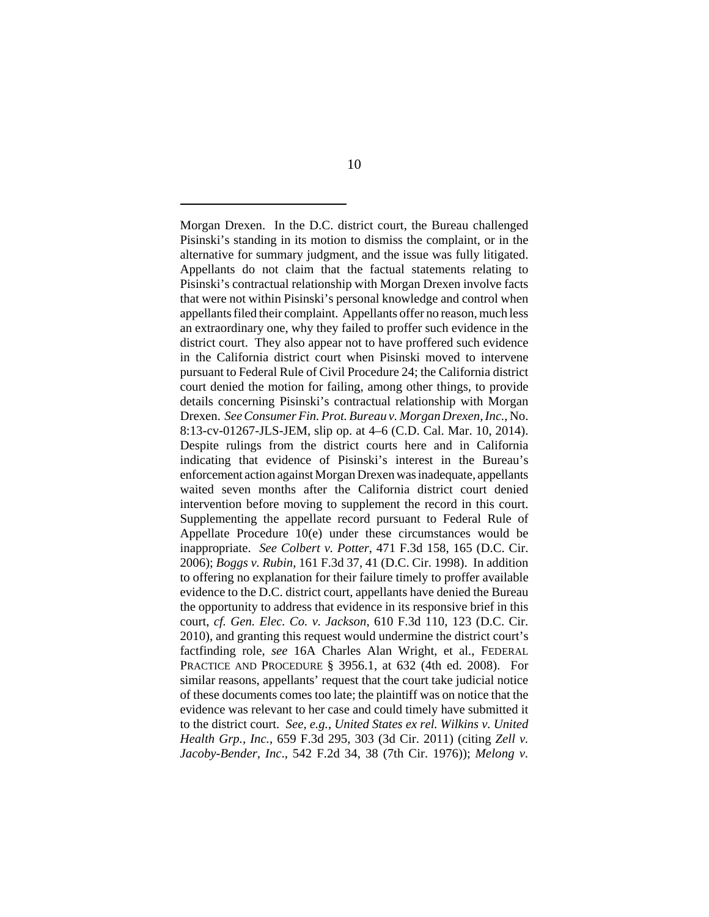Morgan Drexen. In the D.C. district court, the Bureau challenged Pisinski's standing in its motion to dismiss the complaint, or in the alternative for summary judgment, and the issue was fully litigated. Appellants do not claim that the factual statements relating to Pisinski's contractual relationship with Morgan Drexen involve facts that were not within Pisinski's personal knowledge and control when appellants filed their complaint. Appellants offer no reason, much less an extraordinary one, why they failed to proffer such evidence in the district court. They also appear not to have proffered such evidence in the California district court when Pisinski moved to intervene pursuant to Federal Rule of Civil Procedure 24; the California district court denied the motion for failing, among other things, to provide details concerning Pisinski's contractual relationship with Morgan Drexen. *See Consumer Fin. Prot. Bureau v. Morgan Drexen, Inc.*, No. 8:13-cv-01267-JLS-JEM, slip op. at 4–6 (C.D. Cal. Mar. 10, 2014). Despite rulings from the district courts here and in California indicating that evidence of Pisinski's interest in the Bureau's enforcement action against Morgan Drexen was inadequate, appellants waited seven months after the California district court denied intervention before moving to supplement the record in this court. Supplementing the appellate record pursuant to Federal Rule of Appellate Procedure 10(e) under these circumstances would be inappropriate. *See Colbert v. Potter*, 471 F.3d 158, 165 (D.C. Cir. 2006); *Boggs v. Rubin*, 161 F.3d 37, 41 (D.C. Cir. 1998). In addition to offering no explanation for their failure timely to proffer available evidence to the D.C. district court, appellants have denied the Bureau the opportunity to address that evidence in its responsive brief in this court, *cf. Gen. Elec. Co. v. Jackson*, 610 F.3d 110, 123 (D.C. Cir. 2010), and granting this request would undermine the district court's factfinding role, *see* 16A Charles Alan Wright, et al., FEDERAL PRACTICE AND PROCEDURE § 3956.1, at 632 (4th ed. 2008). For similar reasons, appellants' request that the court take judicial notice of these documents comes too late; the plaintiff was on notice that the evidence was relevant to her case and could timely have submitted it to the district court. *See, e.g.*, *United States ex rel. Wilkins v. United Health Grp., Inc.*, 659 F.3d 295, 303 (3d Cir. 2011) (citing *Zell v. Jacoby-Bender, Inc*., 542 F.2d 34, 38 (7th Cir. 1976)); *Melong v.*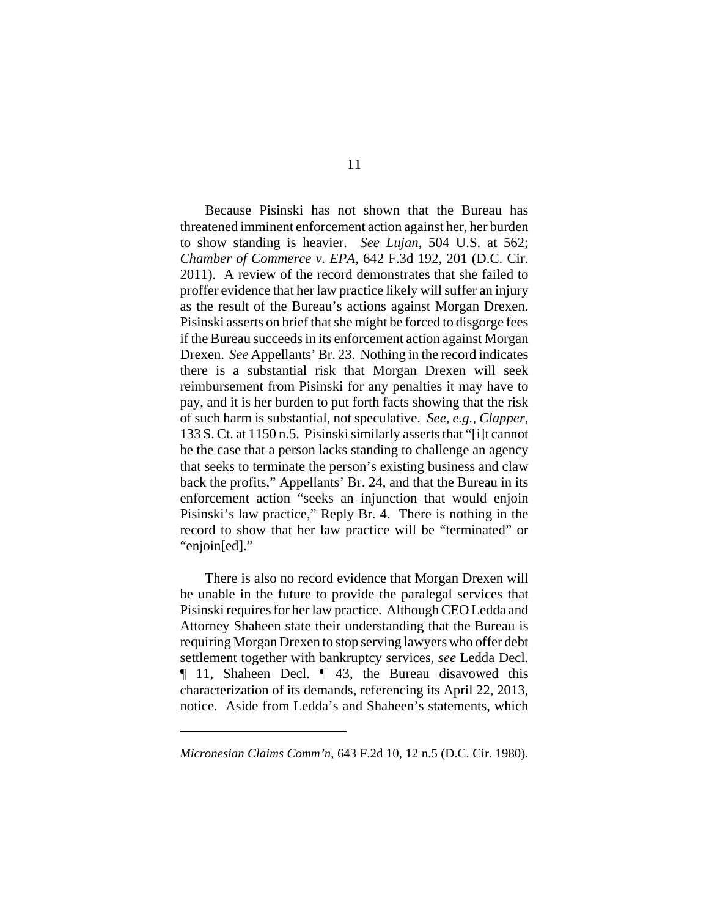Because Pisinski has not shown that the Bureau has threatened imminent enforcement action against her, her burden to show standing is heavier. *See Lujan*, 504 U.S. at 562; *Chamber of Commerce v. EPA*, 642 F.3d 192, 201 (D.C. Cir. 2011). A review of the record demonstrates that she failed to proffer evidence that her law practice likely will suffer an injury as the result of the Bureau's actions against Morgan Drexen. Pisinski asserts on brief that she might be forced to disgorge fees if the Bureau succeeds in its enforcement action against Morgan Drexen. *See* Appellants' Br. 23. Nothing in the record indicates there is a substantial risk that Morgan Drexen will seek reimbursement from Pisinski for any penalties it may have to pay, and it is her burden to put forth facts showing that the risk of such harm is substantial, not speculative. *See, e.g.*, *Clapper*, 133 S. Ct. at 1150 n.5. Pisinski similarly asserts that "[i]t cannot be the case that a person lacks standing to challenge an agency that seeks to terminate the person's existing business and claw back the profits," Appellants' Br. 24, and that the Bureau in its enforcement action "seeks an injunction that would enjoin Pisinski's law practice," Reply Br. 4. There is nothing in the record to show that her law practice will be "terminated" or "enjoin[ed]."

There is also no record evidence that Morgan Drexen will be unable in the future to provide the paralegal services that Pisinski requires for her law practice. Although CEO Ledda and Attorney Shaheen state their understanding that the Bureau is requiring Morgan Drexen to stop serving lawyers who offer debt settlement together with bankruptcy services, *see* Ledda Decl. ¶ 11, Shaheen Decl. ¶ 43, the Bureau disavowed this characterization of its demands, referencing its April 22, 2013, notice. Aside from Ledda's and Shaheen's statements, which

*Micronesian Claims Comm'n*, 643 F.2d 10, 12 n.5 (D.C. Cir. 1980).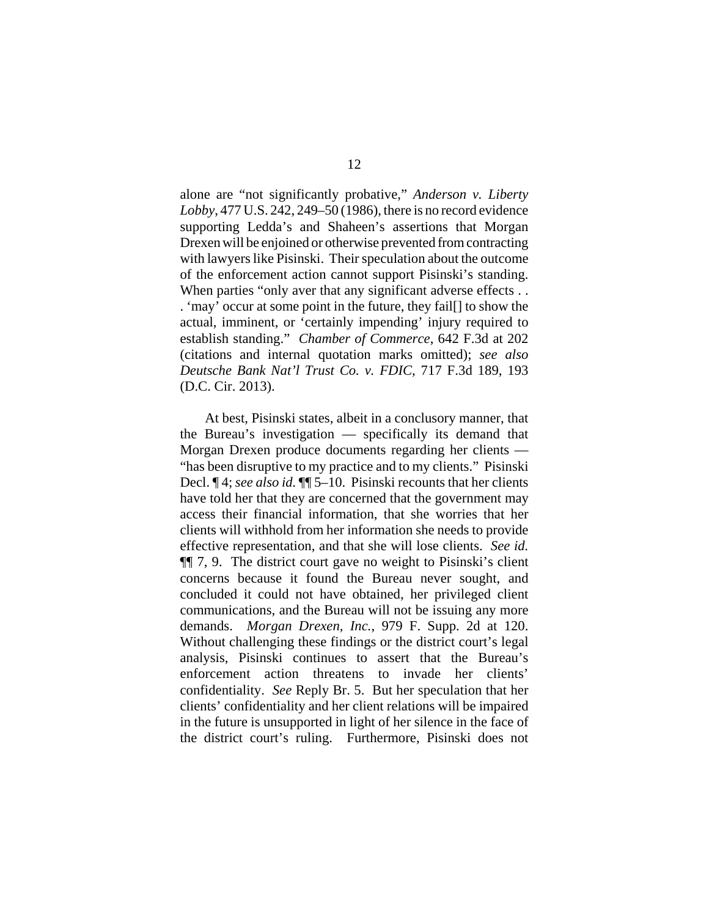alone are "not significantly probative," *Anderson v. Liberty Lobby*, 477 U.S. 242, 249–50 (1986), there is no record evidence supporting Ledda's and Shaheen's assertions that Morgan Drexen will be enjoined or otherwise prevented from contracting with lawyers like Pisinski. Their speculation about the outcome of the enforcement action cannot support Pisinski's standing. When parties "only aver that any significant adverse effects... . 'may' occur at some point in the future, they fail[] to show the actual, imminent, or 'certainly impending' injury required to establish standing." *Chamber of Commerce*, 642 F.3d at 202 (citations and internal quotation marks omitted); *see also Deutsche Bank Nat'l Trust Co. v. FDIC*, 717 F.3d 189, 193 (D.C. Cir. 2013).

At best, Pisinski states, albeit in a conclusory manner, that the Bureau's investigation — specifically its demand that Morgan Drexen produce documents regarding her clients — "has been disruptive to my practice and to my clients." Pisinski Decl. ¶ 4; *see also id.* ¶¶ 5–10. Pisinski recounts that her clients have told her that they are concerned that the government may access their financial information, that she worries that her clients will withhold from her information she needs to provide effective representation, and that she will lose clients. *See id.* ¶¶ 7, 9. The district court gave no weight to Pisinski's client concerns because it found the Bureau never sought, and concluded it could not have obtained, her privileged client communications, and the Bureau will not be issuing any more demands. *Morgan Drexen, Inc.*, 979 F. Supp. 2d at 120. Without challenging these findings or the district court's legal analysis, Pisinski continues to assert that the Bureau's enforcement action threatens to invade her clients' confidentiality. *See* Reply Br. 5. But her speculation that her clients' confidentiality and her client relations will be impaired in the future is unsupported in light of her silence in the face of the district court's ruling. Furthermore, Pisinski does not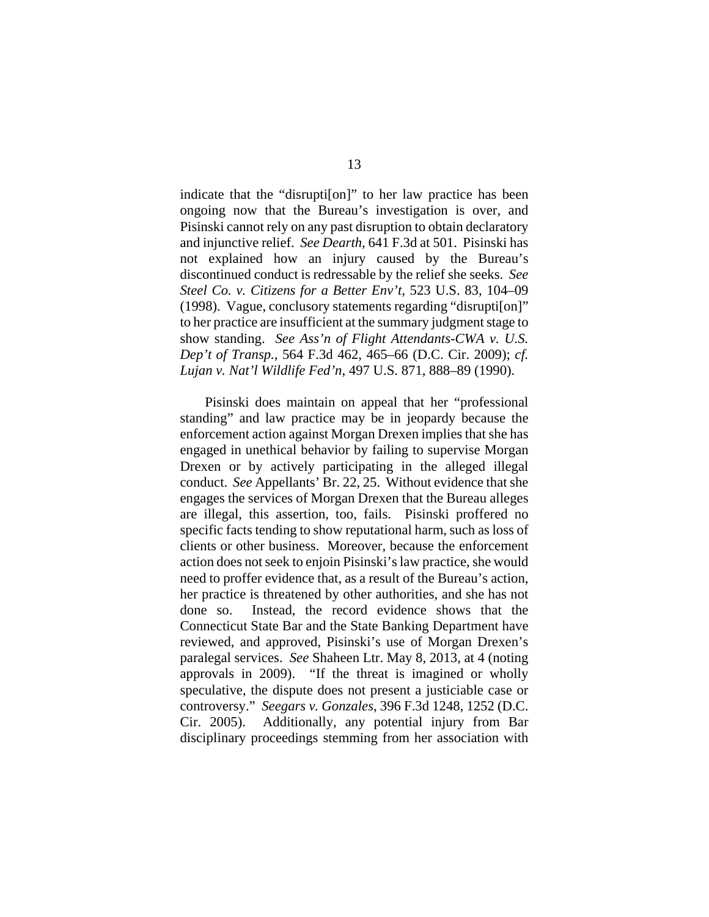indicate that the "disrupti[on]" to her law practice has been ongoing now that the Bureau's investigation is over, and Pisinski cannot rely on any past disruption to obtain declaratory and injunctive relief. *See Dearth*, 641 F.3d at 501. Pisinski has not explained how an injury caused by the Bureau's discontinued conduct is redressable by the relief she seeks. *See Steel Co. v. Citizens for a Better Env't*, 523 U.S. 83, 104–09 (1998). Vague, conclusory statements regarding "disrupti[on]" to her practice are insufficient at the summary judgment stage to show standing. *See Ass'n of Flight Attendants-CWA v. U.S. Dep't of Transp.*, 564 F.3d 462, 465–66 (D.C. Cir. 2009); *cf. Lujan v. Nat'l Wildlife Fed'n*, 497 U.S. 871, 888–89 (1990).

Pisinski does maintain on appeal that her "professional standing" and law practice may be in jeopardy because the enforcement action against Morgan Drexen implies that she has engaged in unethical behavior by failing to supervise Morgan Drexen or by actively participating in the alleged illegal conduct. *See* Appellants' Br. 22, 25. Without evidence that she engages the services of Morgan Drexen that the Bureau alleges are illegal, this assertion, too, fails. Pisinski proffered no specific facts tending to show reputational harm, such as loss of clients or other business. Moreover, because the enforcement action does not seek to enjoin Pisinski's law practice, she would need to proffer evidence that, as a result of the Bureau's action, her practice is threatened by other authorities, and she has not done so. Instead, the record evidence shows that the Connecticut State Bar and the State Banking Department have reviewed, and approved, Pisinski's use of Morgan Drexen's paralegal services. *See* Shaheen Ltr. May 8, 2013, at 4 (noting approvals in 2009). "If the threat is imagined or wholly speculative, the dispute does not present a justiciable case or controversy." *Seegars v. Gonzales*, 396 F.3d 1248, 1252 (D.C. Cir. 2005). Additionally, any potential injury from Bar disciplinary proceedings stemming from her association with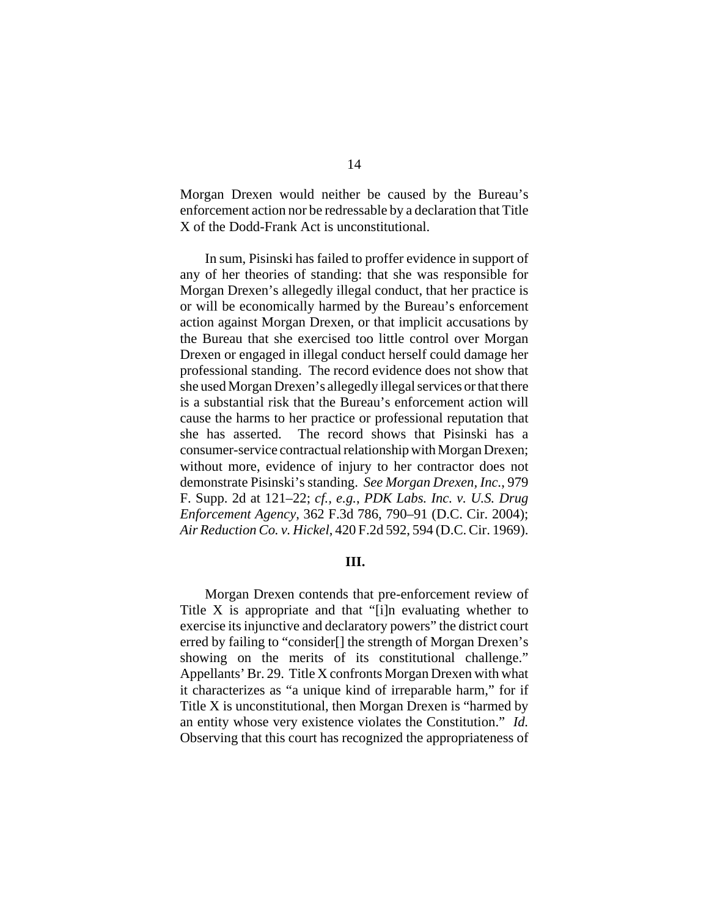Morgan Drexen would neither be caused by the Bureau's enforcement action nor be redressable by a declaration that Title X of the Dodd-Frank Act is unconstitutional.

In sum, Pisinski has failed to proffer evidence in support of any of her theories of standing: that she was responsible for Morgan Drexen's allegedly illegal conduct, that her practice is or will be economically harmed by the Bureau's enforcement action against Morgan Drexen, or that implicit accusations by the Bureau that she exercised too little control over Morgan Drexen or engaged in illegal conduct herself could damage her professional standing. The record evidence does not show that she used Morgan Drexen's allegedly illegal services or that there is a substantial risk that the Bureau's enforcement action will cause the harms to her practice or professional reputation that she has asserted. The record shows that Pisinski has a consumer-service contractual relationship with Morgan Drexen; without more, evidence of injury to her contractor does not demonstrate Pisinski's standing. *See Morgan Drexen, Inc.*, 979 F. Supp. 2d at 121–22; *cf., e.g.*, *PDK Labs. Inc. v. U.S. Drug Enforcement Agency*, 362 F.3d 786, 790–91 (D.C. Cir. 2004); *Air Reduction Co. v. Hickel*, 420 F.2d 592, 594 (D.C. Cir. 1969).

### **III.**

Morgan Drexen contends that pre-enforcement review of Title X is appropriate and that "[i]n evaluating whether to exercise its injunctive and declaratory powers" the district court erred by failing to "consider[] the strength of Morgan Drexen's showing on the merits of its constitutional challenge." Appellants' Br. 29. Title X confronts Morgan Drexen with what it characterizes as "a unique kind of irreparable harm," for if Title X is unconstitutional, then Morgan Drexen is "harmed by an entity whose very existence violates the Constitution." *Id.* Observing that this court has recognized the appropriateness of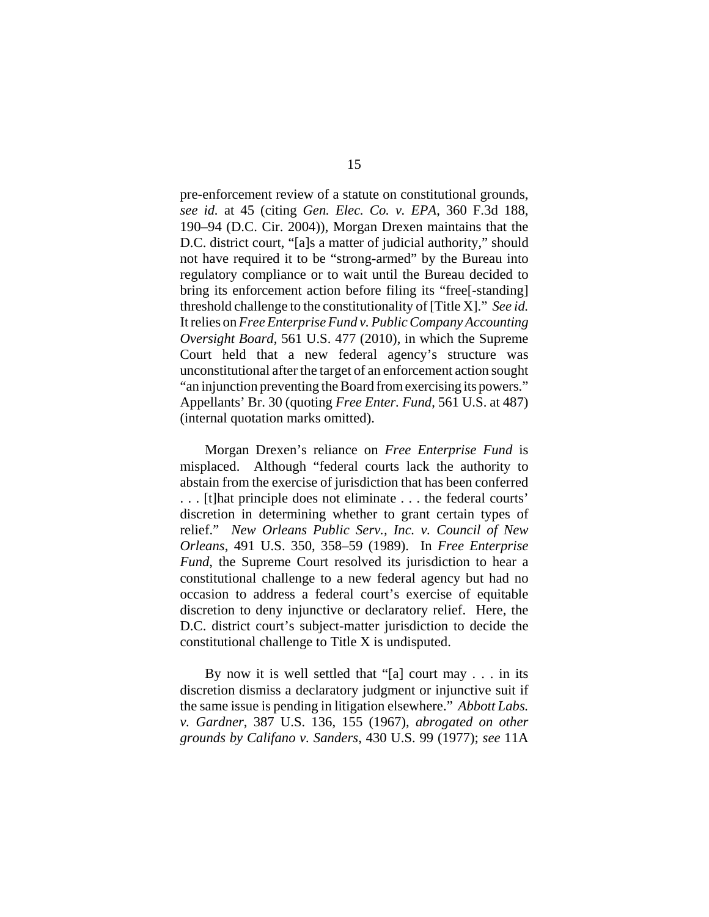pre-enforcement review of a statute on constitutional grounds, *see id.* at 45 (citing *Gen. Elec. Co. v. EPA*, 360 F.3d 188, 190–94 (D.C. Cir. 2004)), Morgan Drexen maintains that the D.C. district court, "[a]s a matter of judicial authority," should not have required it to be "strong-armed" by the Bureau into regulatory compliance or to wait until the Bureau decided to bring its enforcement action before filing its "free[-standing] threshold challenge to the constitutionality of [Title X]." *See id.* It relies on *Free Enterprise Fund v. Public Company Accounting Oversight Board*, 561 U.S. 477 (2010), in which the Supreme Court held that a new federal agency's structure was unconstitutional after the target of an enforcement action sought "an injunction preventing the Board from exercising its powers." Appellants' Br. 30 (quoting *Free Enter. Fund*, 561 U.S. at 487) (internal quotation marks omitted).

Morgan Drexen's reliance on *Free Enterprise Fund* is misplaced. Although "federal courts lack the authority to abstain from the exercise of jurisdiction that has been conferred . . . [t]hat principle does not eliminate . . . the federal courts' discretion in determining whether to grant certain types of relief." *New Orleans Public Serv., Inc. v. Council of New Orleans*, 491 U.S. 350, 358–59 (1989). In *Free Enterprise Fund*, the Supreme Court resolved its jurisdiction to hear a constitutional challenge to a new federal agency but had no occasion to address a federal court's exercise of equitable discretion to deny injunctive or declaratory relief. Here, the D.C. district court's subject-matter jurisdiction to decide the constitutional challenge to Title X is undisputed.

By now it is well settled that "[a] court may . . . in its discretion dismiss a declaratory judgment or injunctive suit if the same issue is pending in litigation elsewhere." *Abbott Labs. v. Gardner*, 387 U.S. 136, 155 (1967), *abrogated on other grounds by Califano v. Sanders*, 430 U.S. 99 (1977); *see* 11A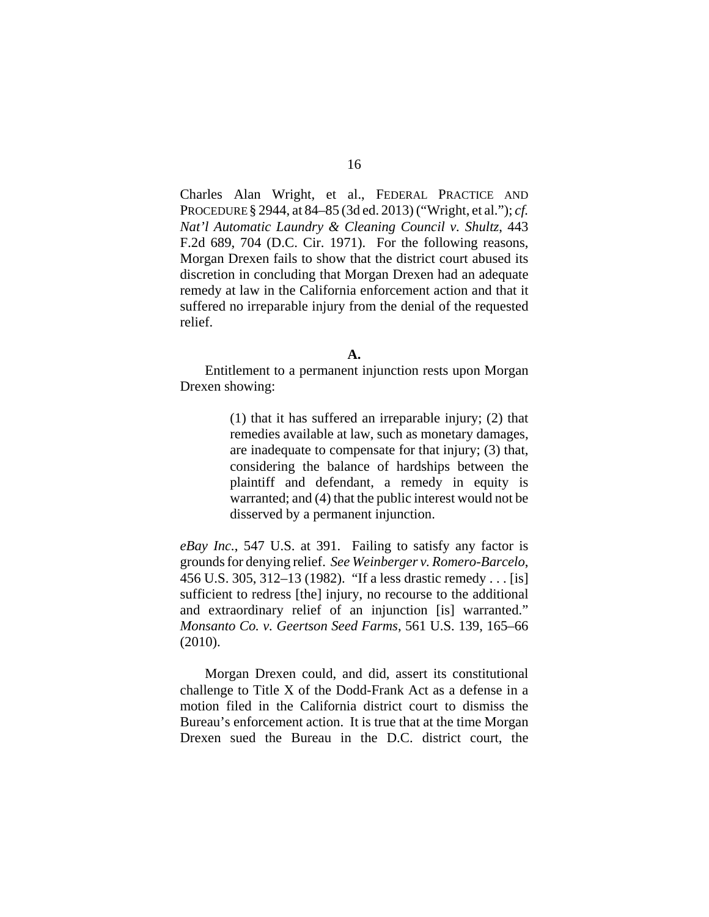Charles Alan Wright, et al., FEDERAL PRACTICE AND PROCEDURE § 2944, at 84–85 (3d ed. 2013) ("Wright, et al."); *cf. Nat'l Automatic Laundry & Cleaning Council v. Shultz*, 443 F.2d 689, 704 (D.C. Cir. 1971). For the following reasons, Morgan Drexen fails to show that the district court abused its discretion in concluding that Morgan Drexen had an adequate remedy at law in the California enforcement action and that it suffered no irreparable injury from the denial of the requested relief.

Entitlement to a permanent injunction rests upon Morgan Drexen showing:

> (1) that it has suffered an irreparable injury; (2) that remedies available at law, such as monetary damages, are inadequate to compensate for that injury; (3) that, considering the balance of hardships between the plaintiff and defendant, a remedy in equity is warranted; and (4) that the public interest would not be disserved by a permanent injunction.

*eBay Inc.*, 547 U.S. at 391. Failing to satisfy any factor is grounds for denying relief. *See Weinberger v. Romero-Barcelo*, 456 U.S. 305, 312–13 (1982). "If a less drastic remedy . . . [is] sufficient to redress [the] injury, no recourse to the additional and extraordinary relief of an injunction [is] warranted." *Monsanto Co. v. Geertson Seed Farms*, 561 U.S. 139, 165–66 (2010).

Morgan Drexen could, and did, assert its constitutional challenge to Title X of the Dodd-Frank Act as a defense in a motion filed in the California district court to dismiss the Bureau's enforcement action. It is true that at the time Morgan Drexen sued the Bureau in the D.C. district court, the

**A.**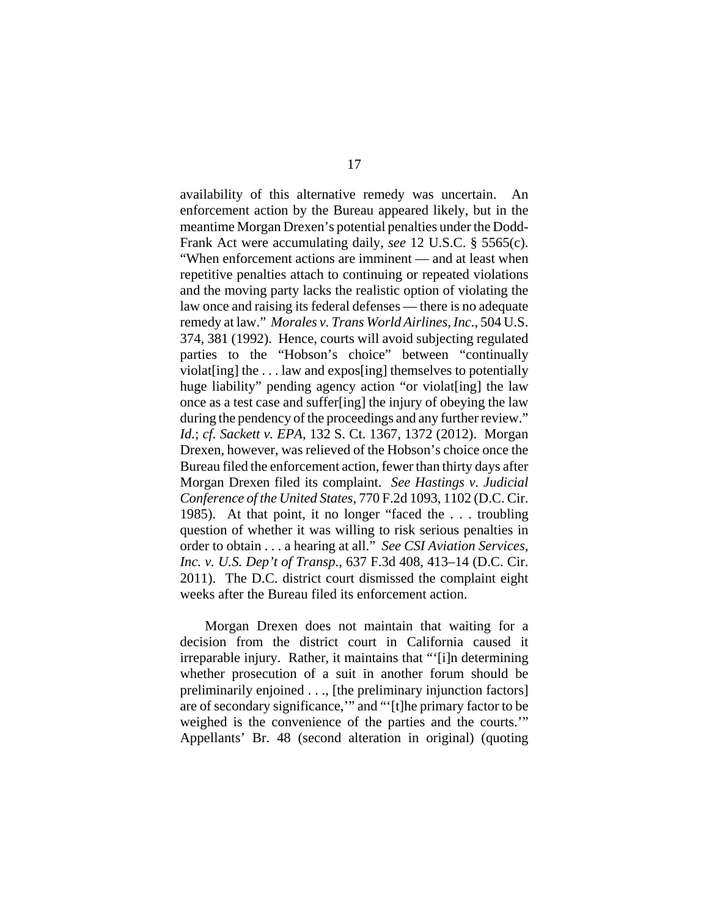availability of this alternative remedy was uncertain. An enforcement action by the Bureau appeared likely, but in the meantime Morgan Drexen's potential penalties under the Dodd-Frank Act were accumulating daily, *see* 12 U.S.C. § 5565(c). "When enforcement actions are imminent — and at least when repetitive penalties attach to continuing or repeated violations and the moving party lacks the realistic option of violating the law once and raising its federal defenses — there is no adequate remedy at law." *Morales v. Trans World Airlines, Inc.*, 504 U.S. 374, 381 (1992). Hence, courts will avoid subjecting regulated parties to the "Hobson's choice" between "continually violat [ing] the  $\dots$  law and expos[ing] themselves to potentially huge liability" pending agency action "or violat[ing] the law once as a test case and suffer[ing] the injury of obeying the law during the pendency of the proceedings and any further review." *Id.*; *cf. Sackett v. EPA*, 132 S. Ct. 1367, 1372 (2012). Morgan Drexen, however, was relieved of the Hobson's choice once the Bureau filed the enforcement action, fewer than thirty days after Morgan Drexen filed its complaint. *See Hastings v. Judicial Conference of the United States*, 770 F.2d 1093, 1102 (D.C. Cir. 1985). At that point, it no longer "faced the . . . troubling question of whether it was willing to risk serious penalties in order to obtain . . . a hearing at all." *See CSI Aviation Services, Inc. v. U.S. Dep't of Transp.*, 637 F.3d 408, 413–14 (D.C. Cir. 2011). The D.C. district court dismissed the complaint eight weeks after the Bureau filed its enforcement action.

Morgan Drexen does not maintain that waiting for a decision from the district court in California caused it irreparable injury. Rather, it maintains that "'[i]n determining whether prosecution of a suit in another forum should be preliminarily enjoined . . ., [the preliminary injunction factors] are of secondary significance,'" and "'[t]he primary factor to be weighed is the convenience of the parties and the courts.'" Appellants' Br. 48 (second alteration in original) (quoting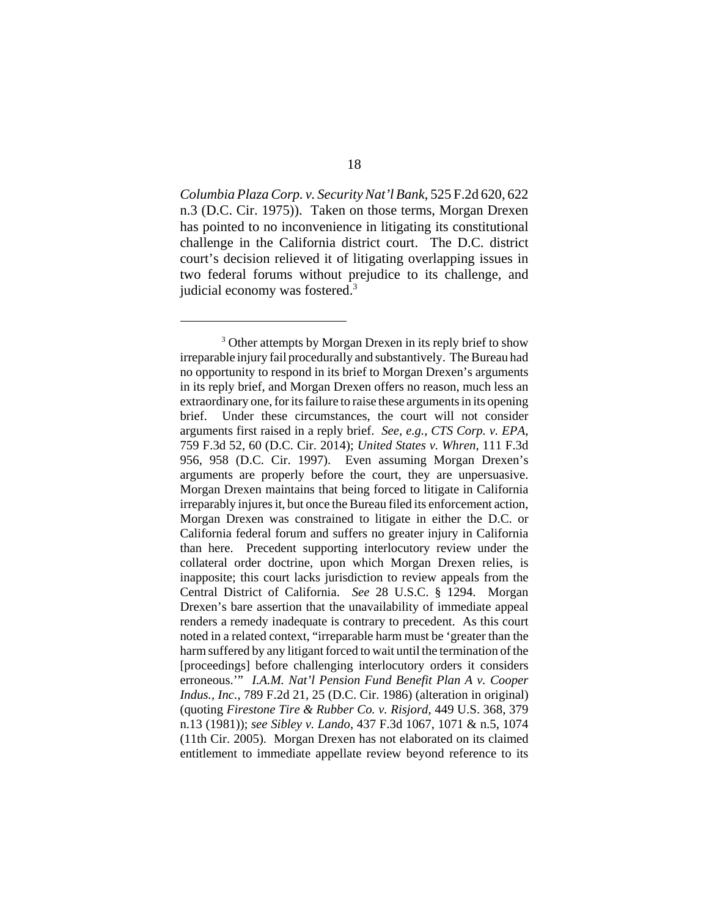*Columbia PlazaCorp. v. Security Nat'l Bank*, 525 F.2d 620, 622 n.3 (D.C. Cir. 1975)). Taken on those terms, Morgan Drexen has pointed to no inconvenience in litigating its constitutional challenge in the California district court. The D.C. district court's decision relieved it of litigating overlapping issues in two federal forums without prejudice to its challenge, and judicial economy was fostered.<sup>3</sup>

<sup>&</sup>lt;sup>3</sup> Other attempts by Morgan Drexen in its reply brief to show irreparable injury fail procedurally and substantively. The Bureau had no opportunity to respond in its brief to Morgan Drexen's arguments in its reply brief, and Morgan Drexen offers no reason, much less an extraordinary one, for its failure to raise these arguments in its opening brief. Under these circumstances, the court will not consider arguments first raised in a reply brief. *See, e.g.*, *CTS Corp. v. EPA*, 759 F.3d 52, 60 (D.C. Cir. 2014); *United States v. Whren*, 111 F.3d 956, 958 (D.C. Cir. 1997). Even assuming Morgan Drexen's arguments are properly before the court, they are unpersuasive. Morgan Drexen maintains that being forced to litigate in California irreparably injures it, but once the Bureau filed its enforcement action, Morgan Drexen was constrained to litigate in either the D.C. or California federal forum and suffers no greater injury in California than here. Precedent supporting interlocutory review under the collateral order doctrine, upon which Morgan Drexen relies, is inapposite; this court lacks jurisdiction to review appeals from the Central District of California. *See* 28 U.S.C. § 1294. Morgan Drexen's bare assertion that the unavailability of immediate appeal renders a remedy inadequate is contrary to precedent. As this court noted in a related context, "irreparable harm must be 'greater than the harm suffered by any litigant forced to wait until the termination of the [proceedings] before challenging interlocutory orders it considers erroneous.'" *I.A.M. Nat'l Pension Fund Benefit Plan A v. Cooper Indus., Inc.*, 789 F.2d 21, 25 (D.C. Cir. 1986) (alteration in original) (quoting *Firestone Tire & Rubber Co. v. Risjord*, 449 U.S. 368, 379 n.13 (1981)); *see Sibley v. Lando*, 437 F.3d 1067, 1071 & n.5, 1074 (11th Cir. 2005). Morgan Drexen has not elaborated on its claimed entitlement to immediate appellate review beyond reference to its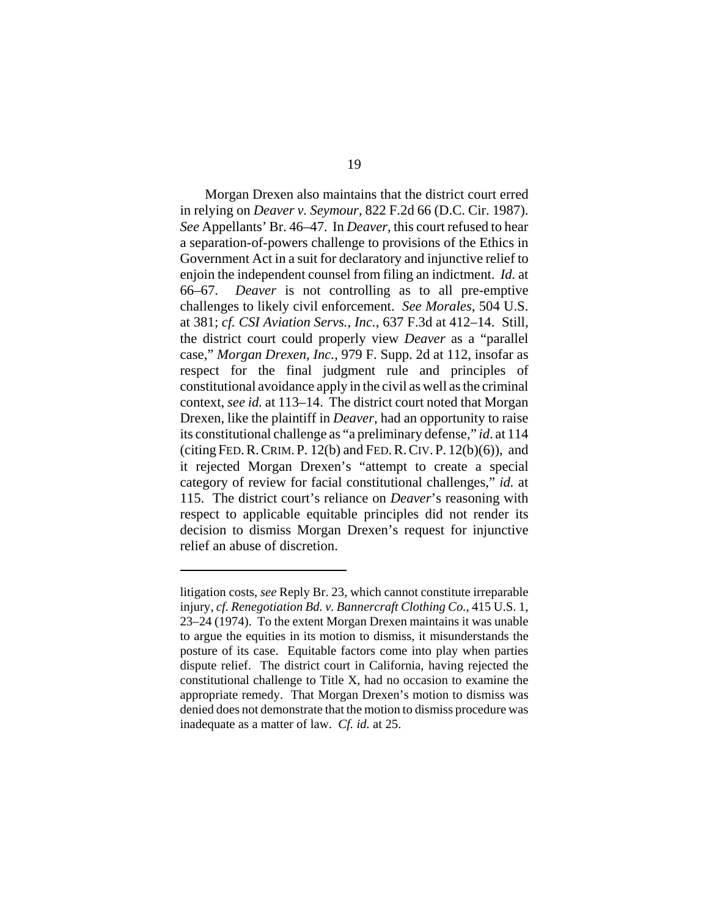Morgan Drexen also maintains that the district court erred in relying on *Deaver v. Seymour*, 822 F.2d 66 (D.C. Cir. 1987). *See* Appellants' Br. 46–47. In *Deaver*, this court refused to hear a separation-of-powers challenge to provisions of the Ethics in Government Act in a suit for declaratory and injunctive relief to enjoin the independent counsel from filing an indictment. *Id.* at 66–67. *Deaver* is not controlling as to all pre-emptive challenges to likely civil enforcement. *See Morales*, 504 U.S. at 381; *cf. CSI Aviation Servs., Inc.*, 637 F.3d at 412–14. Still, the district court could properly view *Deaver* as a "parallel case," *Morgan Drexen, Inc.*, 979 F. Supp. 2d at 112, insofar as respect for the final judgment rule and principles of constitutional avoidance apply in the civil as well as the criminal context, *see id.* at 113–14. The district court noted that Morgan Drexen, like the plaintiff in *Deaver*, had an opportunity to raise its constitutional challenge as "a preliminary defense," *id*. at 114 (citing FED. R. CRIM. P.  $12(b)$  and FED. R. CIV. P.  $12(b)(6)$ ), and it rejected Morgan Drexen's "attempt to create a special category of review for facial constitutional challenges," *id.* at 115. The district court's reliance on *Deaver*'s reasoning with respect to applicable equitable principles did not render its decision to dismiss Morgan Drexen's request for injunctive relief an abuse of discretion.

litigation costs, *see* Reply Br. 23, which cannot constitute irreparable injury, *cf. Renegotiation Bd. v. Bannercraft Clothing Co.*, 415 U.S. 1, 23–24 (1974). To the extent Morgan Drexen maintains it was unable to argue the equities in its motion to dismiss, it misunderstands the posture of its case. Equitable factors come into play when parties dispute relief. The district court in California, having rejected the constitutional challenge to Title X, had no occasion to examine the appropriate remedy. That Morgan Drexen's motion to dismiss was denied does not demonstrate that the motion to dismiss procedure was inadequate as a matter of law. *Cf. id.* at 25.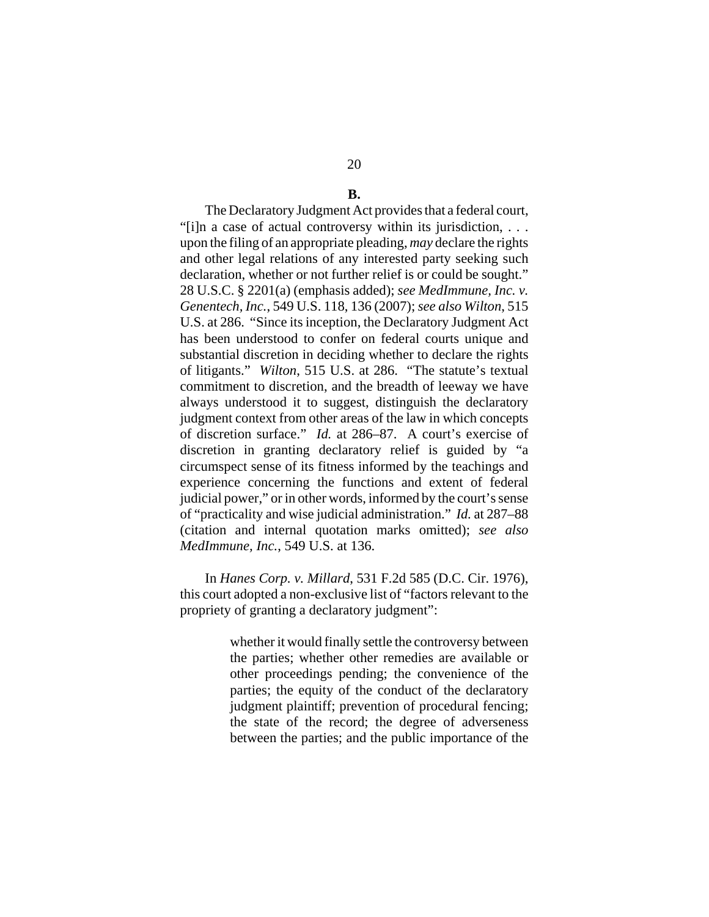# **B.**

The Declaratory Judgment Act provides that a federal court, "[i]n a case of actual controversy within its jurisdiction, . . . upon the filing of an appropriate pleading, *may* declare the rights and other legal relations of any interested party seeking such declaration, whether or not further relief is or could be sought." 28 U.S.C. § 2201(a) (emphasis added); *see MedImmune, Inc. v. Genentech, Inc.*, 549 U.S. 118, 136 (2007); *see also Wilton*, 515 U.S. at 286. "Since its inception, the Declaratory Judgment Act has been understood to confer on federal courts unique and substantial discretion in deciding whether to declare the rights of litigants." *Wilton*, 515 U.S. at 286. "The statute's textual commitment to discretion, and the breadth of leeway we have always understood it to suggest, distinguish the declaratory judgment context from other areas of the law in which concepts of discretion surface." *Id.* at 286–87. A court's exercise of discretion in granting declaratory relief is guided by "a circumspect sense of its fitness informed by the teachings and experience concerning the functions and extent of federal judicial power," or in other words, informed by the court's sense of "practicality and wise judicial administration." *Id.* at 287–88 (citation and internal quotation marks omitted); *see also MedImmune, Inc.*, 549 U.S. at 136.

In *Hanes Corp. v. Millard*, 531 F.2d 585 (D.C. Cir. 1976), this court adopted a non-exclusive list of "factors relevant to the propriety of granting a declaratory judgment":

> whether it would finally settle the controversy between the parties; whether other remedies are available or other proceedings pending; the convenience of the parties; the equity of the conduct of the declaratory judgment plaintiff; prevention of procedural fencing; the state of the record; the degree of adverseness between the parties; and the public importance of the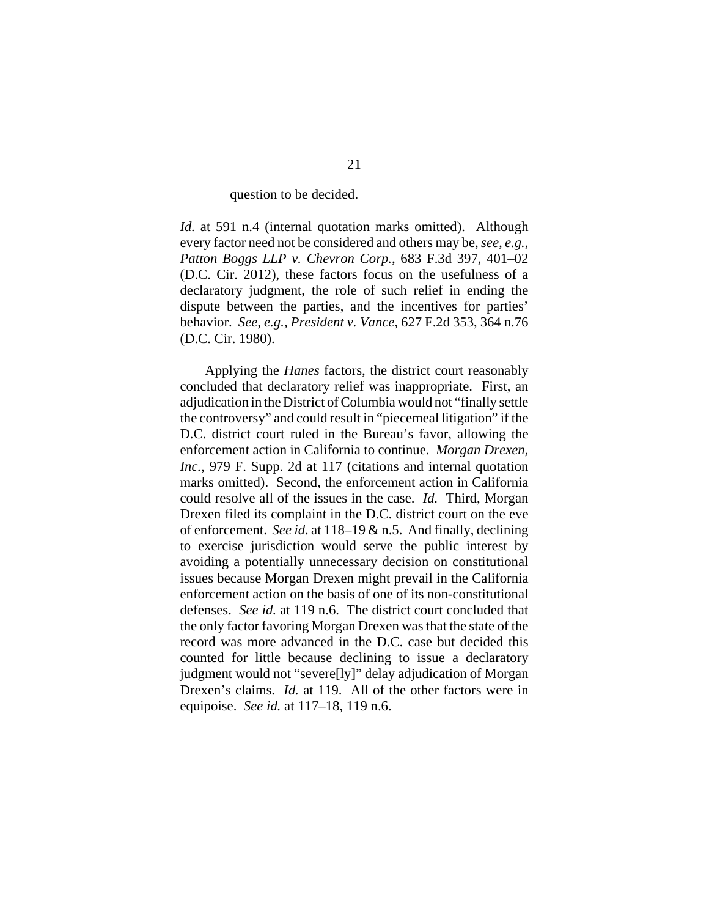#### question to be decided.

*Id.* at 591 n.4 (internal quotation marks omitted). Although every factor need not be considered and others may be, *see, e.g.*, *Patton Boggs LLP v. Chevron Corp.*, 683 F.3d 397, 401–02 (D.C. Cir. 2012), these factors focus on the usefulness of a declaratory judgment, the role of such relief in ending the dispute between the parties, and the incentives for parties' behavior. *See, e.g.*, *President v. Vance*, 627 F.2d 353, 364 n.76 (D.C. Cir. 1980).

Applying the *Hanes* factors, the district court reasonably concluded that declaratory relief was inappropriate. First, an adjudication in the District of Columbia would not "finally settle the controversy" and could result in "piecemeal litigation" if the D.C. district court ruled in the Bureau's favor, allowing the enforcement action in California to continue. *Morgan Drexen, Inc.*, 979 F. Supp. 2d at 117 (citations and internal quotation marks omitted). Second, the enforcement action in California could resolve all of the issues in the case. *Id.* Third, Morgan Drexen filed its complaint in the D.C. district court on the eve of enforcement. *See id*. at 118–19 & n.5. And finally, declining to exercise jurisdiction would serve the public interest by avoiding a potentially unnecessary decision on constitutional issues because Morgan Drexen might prevail in the California enforcement action on the basis of one of its non-constitutional defenses. *See id.* at 119 n.6. The district court concluded that the only factor favoring Morgan Drexen was that the state of the record was more advanced in the D.C. case but decided this counted for little because declining to issue a declaratory judgment would not "severe[ly]" delay adjudication of Morgan Drexen's claims. *Id.* at 119. All of the other factors were in equipoise. *See id.* at 117–18, 119 n.6.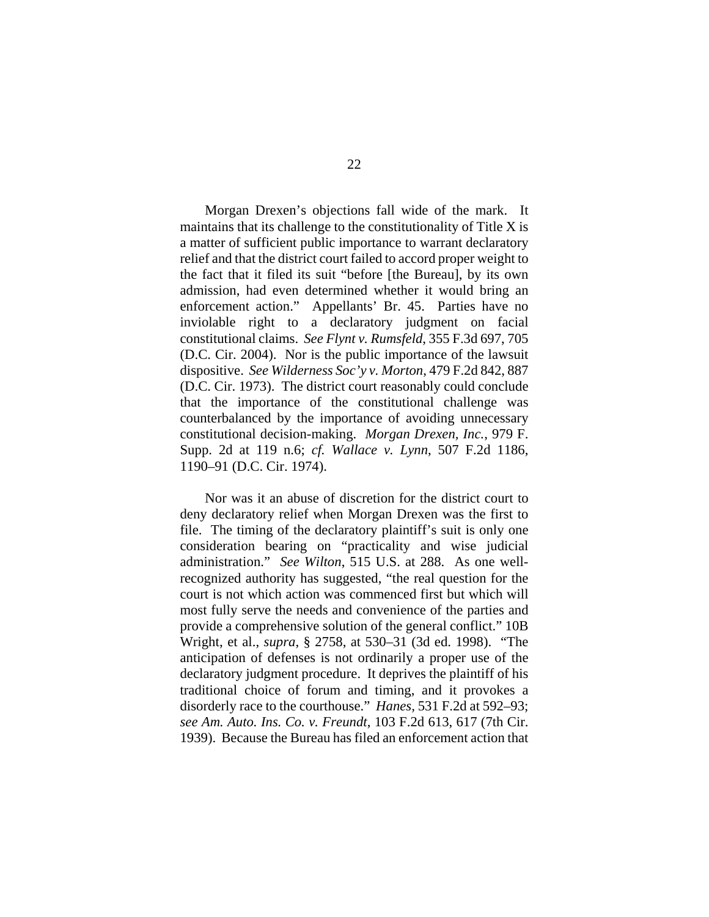Morgan Drexen's objections fall wide of the mark. It maintains that its challenge to the constitutionality of Title X is a matter of sufficient public importance to warrant declaratory relief and that the district court failed to accord proper weight to the fact that it filed its suit "before [the Bureau], by its own admission, had even determined whether it would bring an enforcement action." Appellants' Br. 45. Parties have no inviolable right to a declaratory judgment on facial constitutional claims. *See Flynt v. Rumsfeld*, 355 F.3d 697, 705 (D.C. Cir. 2004). Nor is the public importance of the lawsuit dispositive. *See Wilderness Soc'y v. Morton*, 479 F.2d 842, 887 (D.C. Cir. 1973). The district court reasonably could conclude that the importance of the constitutional challenge was counterbalanced by the importance of avoiding unnecessary constitutional decision-making. *Morgan Drexen, Inc.*, 979 F. Supp. 2d at 119 n.6; *cf. Wallace v. Lynn*, 507 F.2d 1186, 1190–91 (D.C. Cir. 1974).

Nor was it an abuse of discretion for the district court to deny declaratory relief when Morgan Drexen was the first to file. The timing of the declaratory plaintiff's suit is only one consideration bearing on "practicality and wise judicial administration." *See Wilton*, 515 U.S. at 288. As one wellrecognized authority has suggested, "the real question for the court is not which action was commenced first but which will most fully serve the needs and convenience of the parties and provide a comprehensive solution of the general conflict." 10B Wright, et al., *supra*, § 2758, at 530–31 (3d ed. 1998). "The anticipation of defenses is not ordinarily a proper use of the declaratory judgment procedure. It deprives the plaintiff of his traditional choice of forum and timing, and it provokes a disorderly race to the courthouse." *Hanes,* 531 F.2d at 592–93; *see Am. Auto. Ins. Co. v. Freundt*, 103 F.2d 613, 617 (7th Cir. 1939). Because the Bureau has filed an enforcement action that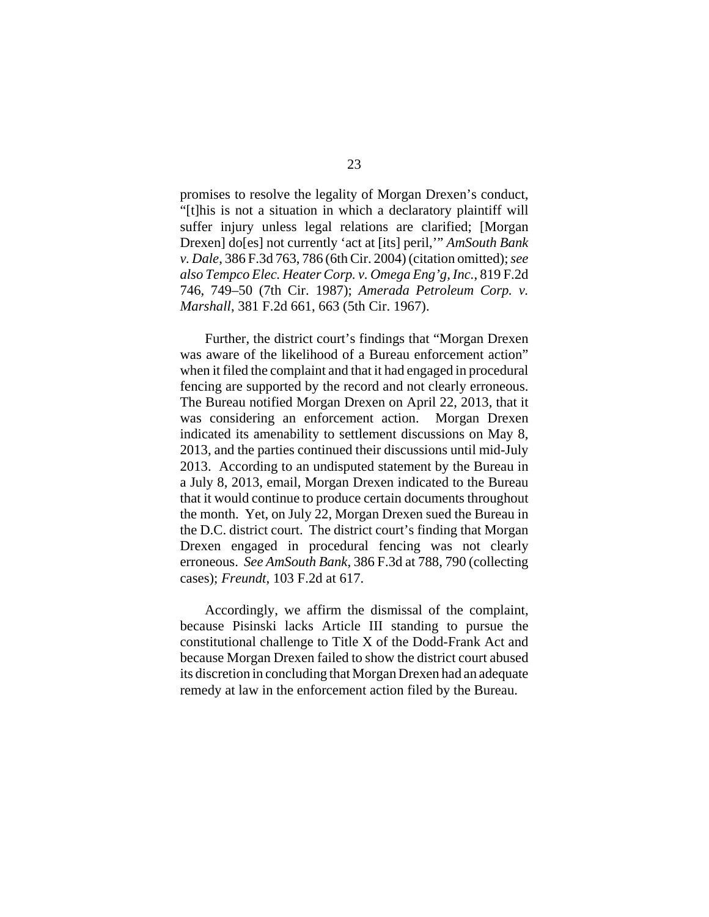promises to resolve the legality of Morgan Drexen's conduct, "[t]his is not a situation in which a declaratory plaintiff will suffer injury unless legal relations are clarified; [Morgan Drexen] do[es] not currently 'act at [its] peril,'" *AmSouth Bank v. Dale*, 386 F.3d 763, 786 (6th Cir. 2004) (citation omitted); *see also Tempco Elec. Heater Corp. v. Omega Eng'g, Inc.*, 819 F.2d 746, 749–50 (7th Cir. 1987); *Amerada Petroleum Corp. v. Marshall*, 381 F.2d 661, 663 (5th Cir. 1967).

Further, the district court's findings that "Morgan Drexen was aware of the likelihood of a Bureau enforcement action" when it filed the complaint and that it had engaged in procedural fencing are supported by the record and not clearly erroneous. The Bureau notified Morgan Drexen on April 22, 2013, that it was considering an enforcement action. Morgan Drexen indicated its amenability to settlement discussions on May 8, 2013, and the parties continued their discussions until mid-July 2013. According to an undisputed statement by the Bureau in a July 8, 2013, email, Morgan Drexen indicated to the Bureau that it would continue to produce certain documents throughout the month. Yet, on July 22, Morgan Drexen sued the Bureau in the D.C. district court. The district court's finding that Morgan Drexen engaged in procedural fencing was not clearly erroneous. *See AmSouth Bank*, 386 F.3d at 788, 790 (collecting cases); *Freundt*, 103 F.2d at 617.

Accordingly, we affirm the dismissal of the complaint, because Pisinski lacks Article III standing to pursue the constitutional challenge to Title X of the Dodd-Frank Act and because Morgan Drexen failed to show the district court abused its discretion in concluding that Morgan Drexen had an adequate remedy at law in the enforcement action filed by the Bureau.